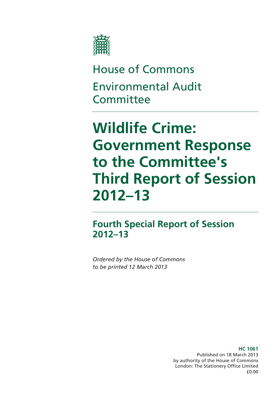

# House of Commons Environmental Audit **Committee**

# **Wildlife Crime: Government Response to the Committee's Third Report of Session 2012–13**

**Fourth Special Report of Session 2012–13** 

*Ordered by the House of Commons to be printed 12 March 2013* 

> **HC 1061**  Published on 18 March 2013 by authority of the House of Commons London: The Stationery Office Limited £0.00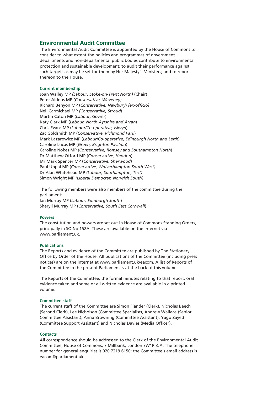### **Environmental Audit Committee**

The Environmental Audit Committee is appointed by the House of Commons to consider to what extent the policies and programmes of government departments and non-departmental public bodies contribute to environmental protection and sustainable development; to audit their performance against such targets as may be set for them by Her Majesty's Ministers; and to report thereon to the House.

### **Current membership**

Joan Walley MP *(Labour, Stoke-on-Trent North)* (Chair) Peter Aldous MP *(Conservative, Waveney)*  Richard Benyon MP (*Conservative, Newbury*) *[ex-officio]*  Neil Carmichael MP *(Conservative, Stroud*) Martin Caton MP (*Labour, Gower*) Katy Clark MP (*Labour, North Ayrshire and Arran*) Chris Evans MP (*Labour/Co-operative, Islwyn*) Zac Goldsmith MP (*Conservative, Richmond Park*) Mark Lazarowicz MP (*Labour/Co-operative, Edinburgh North and Leith*) Caroline Lucas MP (*Green, Brighton Pavilion*) Caroline Nokes MP (*Conservative, Romsey and Southampton North*) Dr Matthew Offord MP (*Conservative, Hendon*) Mr Mark Spencer MP (*Conservative, Sherwood*) Paul Uppal MP (*Conservative, Wolverhampton South West)*  Dr Alan Whitehead MP *(Labour, Southampton, Test)*  Simon Wright MP *(Liberal Democrat, Norwich South)* 

The following members were also members of the committee during the parliament: Ian Murray MP (*Labour, Edinburgh South*) Sheryll Murray MP (*Conservative, South East Cornwall*)

#### **Powers**

The constitution and powers are set out in House of Commons Standing Orders, principally in SO No 152A. These are available on the internet via www.parliament.uk.

### **Publications**

The Reports and evidence of the Committee are published by The Stationery Office by Order of the House. All publications of the Committee (including press notices) are on the internet at www.parliament.uk/eacom. A list of Reports of the Committee in the present Parliament is at the back of this volume.

The Reports of the Committee, the formal minutes relating to that report, oral evidence taken and some or all written evidence are available in a printed volume.

### **Committee staff**

The current staff of the Committee are Simon Fiander (Clerk), Nicholas Beech (Second Clerk), Lee Nicholson (Committee Specialist), Andrew Wallace (Senior Committee Assistant), Anna Browning (Committee Assistant), Yago Zayed (Committee Support Assistant) and Nicholas Davies (Media Officer).

### **Contacts**

All correspondence should be addressed to the Clerk of the Environmental Audit Committee, House of Commons, 7 Millbank, London SW1P 3JA. The telephone number for general enquiries is 020 7219 6150; the Committee's email address is eacom@parliament.uk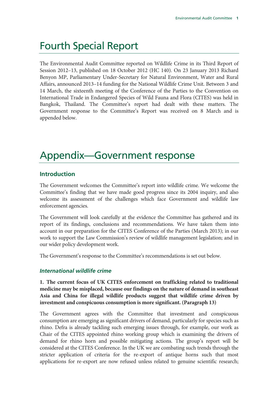# Fourth Special Report

The Environmental Audit Committee reported on Wildlife Crime in its Third Report of Session 2012–13, published on 18 October 2012 (HC 140). On 23 January 2013 Richard Benyon MP, Parliamentary Under-Secretary for Natural Environment, Water and Rural Affairs, announced 2013–14 funding for the National Wildlife Crime Unit. Between 3 and 14 March, the sixteenth meeting of the Conference of the Parties to the Convention on International Trade in Endangered Species of Wild Fauna and Flora (CITES) was held in Bangkok, Thailand. The Committee's report had dealt with these matters. The Government response to the Committee's Report was received on 8 March and is appended below.

# Appendix—Government response

### **Introduction**

The Government welcomes the Committee's report into wildlife crime. We welcome the Committee's finding that we have made good progress since its 2004 inquiry, and also welcome its assessment of the challenges which face Government and wildlife law enforcement agencies.

The Government will look carefully at the evidence the Committee has gathered and its report of its findings, conclusions and recommendations. We have taken them into account in our preparation for the CITES Conference of the Parties (March 2013); in our work to support the Law Commission's review of wildlife management legislation; and in our wider policy development work.

The Government's response to the Committee's recommendations is set out below.

### *International wildlife crime*

**1. The current focus of UK CITES enforcement on trafficking related to traditional medicine may be misplaced, because our findings on the nature of demand in southeast Asia and China for illegal wildlife products suggest that wildlife crime driven by investment and conspicuous consumption is more significant. (Paragraph 13)** 

The Government agrees with the Committee that investment and conspicuous consumption are emerging as significant drivers of demand, particularly for species such as rhino. Defra is already tackling such emerging issues through, for example, our work as Chair of the CITES appointed rhino working group which is examining the drivers of demand for rhino horn and possible mitigating actions. The group's report will be considered at the CITES Conference. In the UK we are combating such trends through the stricter application of criteria for the re-export of antique horns such that most applications for re-export are now refused unless related to genuine scientific research;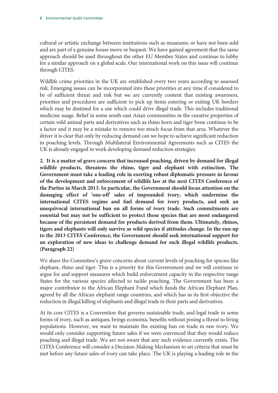cultural or artistic exchange between institutions such as museums; or have not been sold and are part of a genuine house move or bequest. We have gained agreement that the same approach should be used throughout the other EU Member States and continue to lobby for a similar approach on a global scale. Our international work on this issue will continue through CITES.

Wildlife crime priorities in the UK are established every two years according to assessed risk. Emerging issues can be incorporated into these priorities at any time if considered to be of sufficient threat and risk but we are currently content that existing awareness, priorities and procedures are sufficient to pick up items entering or exiting UK borders which may be destined for a use which could drive illegal trade. This includes traditional medicine usage. Belief in some south-east Asian communities in the curative properties of certain wild animal parts and derivatives such as rhino horn and tiger bone continue to be a factor and it may be a mistake to remove too much focus from that area. Whatever the driver it is clear that only by reducing demand can we hope to achieve significant reduction in poaching levels. Through Multilateral Environmental Agreements such as CITES the UK is already engaged in work developing demand reduction strategies.

**2. It is a matter of grave concern that increased poaching, driven by demand for illegal wildlife products, threatens the rhino, tiger and elephant with extinction. The Government must take a leading role in exerting robust diplomatic pressure in favour of the development and enforcement of wildlife law at the next CITES Conference of the Parties in March 2013. In particular, the Government should focus attention on the damaging effect of 'one-off' sales of impounded ivory, which undermine the international CITES regime and fuel demand for ivory products, and seek an unequivocal international ban on all forms of ivory trade. Such commitments are essential but may not be sufficient to protect those species that are most endangered because of the persistent demand for products derived from them. Ultimately, rhinos, tigers and elephants will only survive as wild species if attitudes change. In the run-up to the 2013 CITES Conference, the Government should seek international support for an exploration of new ideas to challenge demand for such illegal wildlife products. (Paragraph 22)** 

We share the Committee's grave concerns about current levels of poaching for species like elephant, rhino and tiger. This is a priority for this Government and we will continue to argue for and support measures which build enforcement capacity in the respective range States for the various species affected to tackle poaching. The Government has been a major contributor to the African Elephant Fund which funds the African Elephant Plan, agreed by all the African elephant range countries, and which has as its first objective the reduction in illegal killing of elephants and illegal trade in their parts and derivatives.

At its core CITES is a Convention that governs sustainable trade, and legal trade in some forms of ivory, such as antiques, brings economic benefits without posing a threat to living populations. However, we want to maintain the existing ban on trade in raw ivory. We would only consider supporting future sales if we were convinced that they would reduce poaching and illegal trade. We are not aware that any such evidence currently exists. The CITES Conference will consider a Decision-Making Mechanism to set criteria that must be met before any future sales of ivory can take place. The UK is playing a leading role in the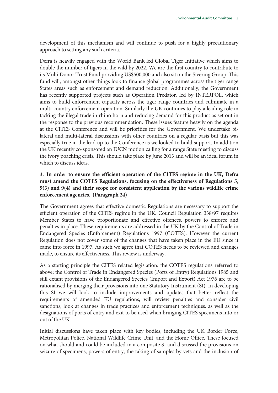development of this mechanism and will continue to push for a highly precautionary approach to setting any such criteria.

Defra is heavily engaged with the World Bank led Global Tiger Initiative which aims to double the number of tigers in the wild by 2022. We are the first country to contribute to its Multi Donor Trust Fund providing US\$500,000 and also sit on the Steering Group. This fund will, amongst other things look to finance global programmes across the tiger range States areas such as enforcement and demand reduction. Additionally, the Government has recently supported projects such as Operation Predator, led by INTERPOL, which aims to build enforcement capacity across the tiger range countries and culminate in a multi-country enforcement operation. Similarly the UK continues to play a leading role in tacking the illegal trade in rhino horn and reducing demand for this product as set out in the response to the previous recommendation. These issues feature heavily on the agenda at the CITES Conference and will be priorities for the Government. We undertake bilateral and multi-lateral discussions with other countries on a regular basis but this was especially true in the lead up to the Conference as we looked to build support. In addition the UK recently co-sponsored an IUCN motion calling for a range State meeting to discuss the ivory poaching crisis. This should take place by June 2013 and will be an ideal forum in which to discuss ideas.

### **3. In order to ensure the efficient operation of the CITES regime in the UK, Defra must amend the COTES Regulations, focusing on the effectiveness of Regulations 5, 9(3) and 9(4) and their scope for consistent application by the various wildlife crime enforcement agencies. (Paragraph 24)**

The Government agrees that effective domestic Regulations are necessary to support the efficient operation of the CITES regime in the UK. Council Regulation 338/97 requires Member States to have proportionate and effective offences, powers to enforce and penalties in place. These requirements are addressed in the UK by the Control of Trade in Endangered Species (Enforcement) Regulations 1997 (COTES). However the current Regulation does not cover some of the changes that have taken place in the EU since it came into force in 1997. As such we agree that COTES needs to be reviewed and changes made, to ensure its effectiveness. This review is underway.

As a starting principle the CITES related legislation: the COTES regulations referred to above; the Control of Trade in Endangered Species (Ports of Entry) Regulations 1985 and still extant provisions of the Endangered Species (Import and Export) Act 1976 are to be rationalised by merging their provisions into one Statutory Instrument (SI). In developing this SI we will look to include improvements and updates that better reflect the requirements of amended EU regulations, will review penalties and consider civil sanctions, look at changes in trade practices and enforcement techniques, as well as the designations of ports of entry and exit to be used when bringing CITES specimens into or out of the UK.

Initial discussions have taken place with key bodies, including the UK Border Force, Metropolitan Police, National Wildlife Crime Unit, and the Home Office. These focused on what should and could be included in a composite SI and discussed the provisions on seizure of specimens, powers of entry, the taking of samples by vets and the inclusion of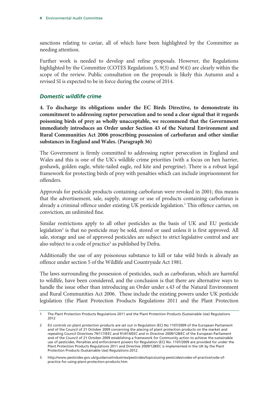sanctions relating to caviar, all of which have been highlighted by the Committee as needing attention.

Further work is needed to develop and refine proposals. However, the Regulations highlighted by the Committee (COTES Regulations 5, 9(3) and 9(4)) are clearly within the scope of the review. Public consultation on the proposals is likely this Autumn and a revised SI is expected to be in force during the course of 2014.

### *Domestic wildlife crime*

**4. To discharge its obligations under the EC Birds Directive, to demonstrate its commitment to addressing raptor persecution and to send a clear signal that it regards poisoning birds of prey as wholly unacceptable, we recommend that the Government immediately introduces an Order under Section 43 of the Natural Environment and Rural Communities Act 2006 proscribing possession of carbofuran and other similar substances in England and Wales. (Paragraph 36)** 

The Government is firmly committed to addressing raptor persecution in England and Wales and this is one of the UK's wildlife crime priorities (with a focus on hen harrier, goshawk, golden eagle, white-tailed eagle, red kite and peregrine). There is a robust legal framework for protecting birds of prey with penalties which can include imprisonment for offenders.

Approvals for pesticide products containing carbofuran were revoked in 2001; this means that the advertisement, sale, supply, storage or use of products containing carbofuran is already a criminal offence under existing UK pesticide legislation.<sup>1</sup> This offence carries, on conviction, an unlimited fine.

Similar restrictions apply to all other pesticides as the basis of UK and EU pesticide legislation2 is that no pesticide may be sold, stored or used unless it is first approved. All sale, storage and use of approved pesticides are subject to strict legislative control and are also subject to a code of practice<sup>3</sup> as published by Defra.

Additionally the use of any poisonous substance to kill or take wild birds is already an offence under section 5 of the Wildlife and Countryside Act 1981.

The laws surrounding the possession of pesticides, such as carbofuran, which are harmful to wildlife, have been considered, and the conclusion is that there are alternative ways to handle the issue other than introducing an Order under s.43 of the Natural Environment and Rural Communities Act 2006. These include the existing powers under UK pesticide legislation (the Plant Protection Products Regulations 2011 and the Plant Protection

<sup>1</sup> The Plant Protection Products Regulations 2011 and the Plant Protection Products (Sustainable Use) Regulations 2012

<sup>2</sup> EU controls on plant protection products are set out in Regulation (EC) No 1107/2009 of the European Parliament and of the Council of 21 October 2009 concerning the placing of plant protection products on the market and repealing Council Directives 79/117/EEC and 91/414/EEC and in Directive 2009/128/EC of the European Parliament and of the Council of 21 October 2009 establishing a framework for Community action to achieve the sustainable use of pesticides. Penalties and enforcement powers for Regulation (EC) No. 1107/2009 are provided for under the Plant Protection Products Regulations 2011 and Directive 2009/128/EC is implemented in the UK by the Plant Protection Products (Sustainable Use) Regulations 2012.

<sup>3</sup> http://www.pesticides.gov.uk/guidance/industries/pesticides/topics/using-pesticides/codes-of-practice/code-ofpractice-for-using-plant-protection-products.htm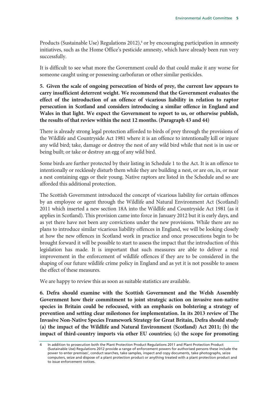Products (Sustainable Use) Regulations 2012),<sup>4</sup> or by encouraging participation in amnesty initiatives, such as the Home Office's pesticide amnesty, which have already been run very successfully.

It is difficult to see what more the Government could do that could make it any worse for someone caught using or possessing carbofuran or other similar pesticides.

**5. Given the scale of ongoing persecution of birds of prey, the current law appears to carry insufficient deterrent weight. We recommend that the Government evaluates the effect of the introduction of an offence of vicarious liability in relation to raptor persecution in Scotland and considers introducing a similar offence in England and Wales in that light. We expect the Government to report to us, or otherwise publish, the results of that review within the next 12 months. (Paragraph 43 and 44)** 

There is already strong legal protection afforded to birds of prey through the provisions of the Wildlife and Countryside Act 1981 where it is an offence to intentionally kill or injure any wild bird; take, damage or destroy the nest of any wild bird while that nest is in use or being built; or take or destroy an egg of any wild bird.

Some birds are further protected by their listing in Schedule 1 to the Act. It is an offence to intentionally or recklessly disturb them while they are building a nest, or are on, in, or near a nest containing eggs or their young. Native raptors are listed in the Schedule and so are afforded this additional protection.

The Scottish Government introduced the concept of vicarious liability for certain offences by an employee or agent through the Wildlife and Natural Environment Act (Scotland) 2011 which inserted a new section 18A into the Wildlife and Countryside Act 1981 (as it applies in Scotland). This provision came into force in January 2012 but it is early days, and as yet there have not been any convictions under the new provisions. While there are no plans to introduce similar vicarious liability offences in England, we will be looking closely at how the new offences in Scotland work in practice and once prosecutions begin to be brought forward it will be possible to start to assess the impact that the introduction of this legislation has made. It is important that such measures are able to deliver a real improvement in the enforcement of wildlife offences if they are to be considered in the shaping of our future wildlife crime policy in England and as yet it is not possible to assess the effect of these measures.

We are happy to review this as soon as suitable statistics are available.

**6. Defra should examine with the Scottish Government and the Welsh Assembly Government how their commitment to joint strategic action on invasive non-native species in Britain could be refocused, with an emphasis on bolstering a strategy of prevention and setting clear milestones for implementation. In its 2013 review of The Invasive Non-Native Species Framework Strategy for Great Britain, Defra should study (a) the impact of the Wildlife and Natural Environment (Scotland) Act 2011; (b) the impact of third-country imports via other EU countries; (c) the scope for promoting** 

In addition to prosecution both the Plant Protection Product Regulations 2011 and Plant Protection Product (Sustainable Use) Regulations 2012 provide a range of enforcement powers for authorised persons these include the power to enter premises', conduct searches, take samples, inspect and copy documents, take photographs, seize computers, seize and dispose of a plant protection product or anything treated with a plant protection product and to issue enforcement notices.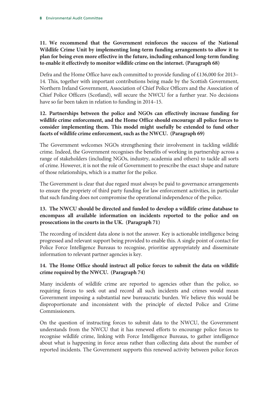**11. We recommend that the Government reinforces the success of the National Wildlife Crime Unit by implementing long-term funding arrangements to allow it to plan for being even more effective in the future, including enhanced long-term funding to enable it effectively to monitor wildlife crime on the internet. (Paragraph 68)** 

Defra and the Home Office have each committed to provide funding of £136,000 for 2013– 14. This, together with important contributions being made by the Scottish Government, Northern Ireland Government, Association of Chief Police Officers and the Association of Chief Police Officers (Scotland), will secure the NWCU for a further year. No decisions have so far been taken in relation to funding in 2014–15.

# **12. Partnerships between the police and NGOs can effectively increase funding for wildlife crime enforcement, and the Home Office should encourage all police forces to consider implementing them. This model might usefully be extended to fund other facets of wildlife crime enforcement, such as the NWCU. (Paragraph 69)**

The Government welcomes NGOs strengthening their involvement in tackling wildlife crime. Indeed, the Government recognises the benefits of working in partnership across a range of stakeholders (including NGOs, industry, academia and others) to tackle all sorts of crime. However, it is not the role of Government to prescribe the exact shape and nature of those relationships, which is a matter for the police.

The Government is clear that due regard must always be paid to governance arrangements to ensure the propriety of third party funding for law enforcement activities, in particular that such funding does not compromise the operational independence of the police.

# **13. The NWCU should be directed and funded to develop a wildlife crime database to encompass all available information on incidents reported to the police and on prosecutions in the courts in the UK. (Paragraph 71)**

The recording of incident data alone is not the answer. Key is actionable intelligence being progressed and relevant support being provided to enable this. A single point of contact for Police Force Intelligence Bureaus to recognise, prioritise appropriately and disseminate information to relevant partner agencies is key.

# **14. The Home Office should instruct all police forces to submit the data on wildlife crime required by the NWCU. (Paragraph 74)**

Many incidents of wildlife crime are reported to agencies other than the police, so requiring forces to seek out and record all such incidents and crimes would mean Government imposing a substantial new bureaucratic burden. We believe this would be disproportionate and inconsistent with the principle of elected Police and Crime Commissioners.

On the question of instructing forces to submit data to the NWCU, the Government understands from the NWCU that it has renewed efforts to encourage police forces to recognise wildlife crime, linking with Force Intelligence Bureaus, to gather intelligence about what is happening in force areas rather than collecting data about the number of reported incidents. The Government supports this renewed activity between police forces